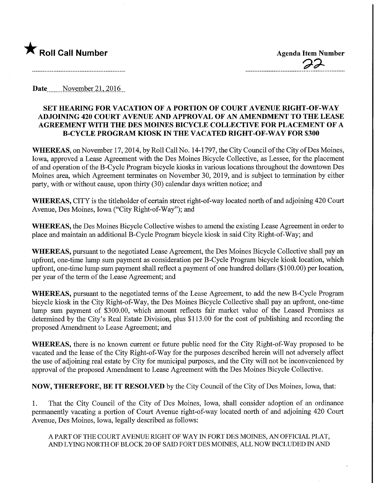

Date November 21, 2016

## SET HEARING FOR VACATION OF A PORTION OF COURT AVENUE RIGHT-OF-WAY ADJOINmG 420 COURT AVENUE AND APPROVAL OF AN AMENDMENT TO THE LEASE AGREEMENT WITH THE DES MOINES BICYCLE COLLECTIVE FOR PLACEMENT OF A B-CYCLE PROGRAM KIOSK IN THE VACATED RIGHT-OF-WAY FOR \$300

WHEREAS, on November 17, 2014, by Roll Call No. 14-1797, the City Council of the City of Des Moines, Iowa, approved a Lease Agreement with the Des Moines Bicycle Collective, as Lessee, for the placement of and operation of the B-Cycle Program bicycle kiosks in various locations throughout the downtown Des Moines area, which Agreement terminates on November 30, 2019, and is subject to termination by either party, with or without cause, upon thirty (30) calendar days written notice; and

WHEREAS, CITY is the titleholder of certain street right-of-way located north of and adjoining 420 Court Avenue, Des Moines, Iowa ("City Right-of-Way"); and

WHEREAS, the Des Moines Bicycle Collective wishes to amend the existing Lease Agreement in order to place and maintain an additional B-Cycle Program bicycle kiosk in said City Right-of-Way; and

WHEREAS, pursuant to the negotiated Lease Agreement, the Des Moines Bicycle Collective shall pay an upfront, one-time lump sum payment as consideration per B-Cycle Program bicycle kiosk location, which upfront, one-time lump sum payment shall reflect a payment of one hundred dollars (\$100.00) per location, per year of the term of the Lease Agreement; and

WHEREAS, pursuant to the negotiated terms of the Lease Agreement, to add the new B-Cycle Program bicycle kiosk in the City Right-of-Way, the Des Moines Bicycle Collective shall pay an upfront, one-time lump sum payment of \$300.00, which amount reflects fair market value of the Leased Premises as determined by the City's Real Estate Division, plus \$113.00 for the cost of publishing and recording the proposed Amendment to Lease Agreement; and

WHEREAS, there is no known current or future public need for the City Right-of-Way proposed to be vacated and the lease of the City Right-of-Way for the purposes described herein will not adversely affect the use of adjoining real estate by City for municipal purposes, and the City will not be inconvenienced by approval of the proposed Amendment to Lease Agreement with the Des Moines Bicycle Collective.

NOW, THEREFORE, BE IT RESOLVED by the City Council of the City of Des Moines, Iowa, that:

1. That the City Council of the City of Des Moines, Iowa, shall consider adoption of an ordinance permanently vacating a portion of Court Avenue right-of-way located north of and adjoining 420 Court Avenue, Des Moines, Iowa, legally described as follows:

A PART OF THE COURT AVENUE RIGHT OF WAY IN FORT DES MOINES, AN OFFICIAL PLAT, AND LYING NORTH OF BLOCK 20 OF SAID FORT DES MOINES, ALL NOW INCLUDED IN AND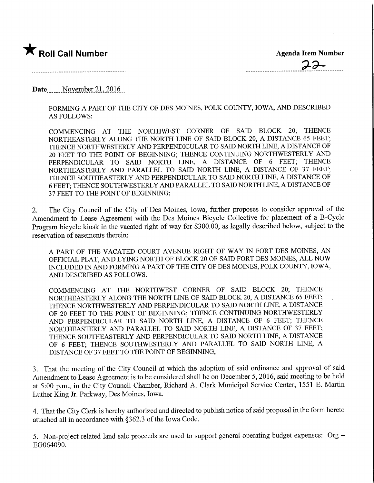

 $22-$ 

Date November 21, 2016

FORMING A PART OF THE CITY OF DES MOINES, POLK COUNTY, IOWA, AND DESCRIBED AS FOLLOWS:

COMMENCING AT THE NORTHWEST CORNER OF SAID BLOCK 20; THENCE NORTHEASTERLY ALONG THE NORTH LINE OF SAID BLOCK 20, A DISTANCE 65 FEET; THENCE NORTHWESTERLY AND PERPENDICULAR TO SAID NORTH LINE, A DISTANCE OF 20 FEET TO THE POINT OF BEGINNING; THENCE CONTINUING NORTHWESTERLY AND PERPENDICULAR TO SAID NORTH LINE, A DISTANCE OF 6 FEET; THENCE NORTHEASTERLY AND PARALLEL TO SAID NORTH LINE, A DISTANCE OF 37 FEET; THENCE SOUTHEASTERLY AND PERPENDICULAR TO SAID NORTH LINE, A DISTANCE OF 6 FEET; THENCE SOUTHWESTERLY AND PARALLEL TO SAID NORTH LINE, A DISTANCE OF 37 FEET TO THE POINT OF BEGINNING;

2. The City Council of the City of Des Moines, Iowa, further proposes to consider approval of the Amendment to Lease Agreement with the Des Moines Bicycle Collective for placement of a B-Cycle Program bicycle kiosk in the vacated right-of-way for \$300.00, as legally described below, subject to the reservation of easements therein:

A PART OF THE VACATED COURT AVENUE RIGHT OF WAY IN FORT DES MOINES, AN OFFICIAL PLAT, AND LYING NORTH OF BLOCK 20 OF SAID FORT DES MOINES, ALL NOW INCLUDED IN AND FORMING A PART OF THE CITY OF DES MOINES, POLK COUNTY, IOWA, AND DESCRIBED AS FOLLOWS:

COMMENCING AT THE NORTHWEST CORNER OF SAID BLOCK 20; THENCE NORTHEASTERLY ALONG THE NORTH LINE OF SAID BLOCK 20, A DISTANCE 65 FEET; THENCE NORTHWESTERLY AND PERPENDICULAR TO SAID NORTH LINE, A DISTANCE OF 20 FEET TO THE POINT OF BEGINNING; THENCE CONTINUING NORTHWESTERLY AND PERPENDICULAR TO SAID NORTH LINE, A DISTANCE OF 6 FEET; THENCE NORTHEASTERLY AND PARALLEL TO SADD NORTH LINE, A DISTANCE OF 37 FEET; THENCE SOUTHEASTERLY AND PERPENDICULAR TO SAID NORTH LINE, A DISTANCE OF 6 FEET; THENCE SOUTHWESTERLY AND PARALLEL TO SAID NORTH LINE, A DISTANCE OF 37 FEET TO THE POINT OF BEGINNING;

3. That the meeting of the City Council at which the adoption of said ordinance and approval of said Amendment to Lease Agreement is to be considered shall be on December 5,2016, said meeting to be held at 5:00 p.m., in the City Council Chamber, Richard A. Clark Municipal Service Center, 1551 E. Martin Luther King Jr. Parkway, Des Moines, Iowa.

4. That the City Clerk is hereby authorized and directed to publish notice of said proposal in the form hereto attached all in accordance with §362.3 of the Iowa Code.

5. Non-project related land sale proceeds are used to support general operating budget expenses: Org - EG064090.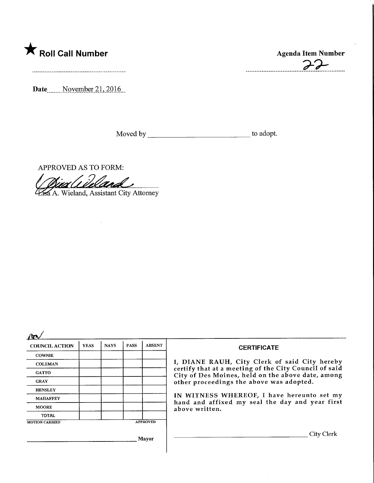## Roll Call Number

Date November 21, 2016

APPROVED AS TO FORM:

**Tisa A. Wieland, Assistant City Attorney** 

| <b>COUNCIL ACTION</b> | <b>YEAS</b> | <b>NAYS</b> | <b>PASS</b> | <b>ABSENT</b>   |                                               |
|-----------------------|-------------|-------------|-------------|-----------------|-----------------------------------------------|
| <b>COWNIE</b>         |             |             |             |                 |                                               |
| <b>COLEMAN</b>        |             |             |             |                 | I, DIANE RAUH, Ci                             |
| <b>GATTO</b>          |             |             |             |                 | certify that at a meet<br>City of Des Moines, |
| <b>GRAY</b>           |             |             |             |                 | other proceedings th                          |
| <b>HENSLEY</b>        |             |             |             |                 |                                               |
| <b>MAHAFFEY</b>       |             |             |             |                 | IN WITNESS WHER                               |
| <b>MOORE</b>          |             |             |             |                 | hand and affixed m<br>above written.          |
| <b>TOTAL</b>          |             |             |             |                 |                                               |
| <b>MOTION CARRIED</b> |             |             |             | <b>APPROVED</b> |                                               |
|                       |             |             |             | Mayor           |                                               |



|  |  | CERTIFICATE |  |  |
|--|--|-------------|--|--|
|  |  |             |  |  |
|  |  |             |  |  |

ity Clerk of said City hereby<br>ting of the City Council of said held on the above date, among e above was adopted.

EOF, I have hereunto set my y seal the day and year first

 $\bar{\gamma}$ 

City Clerk